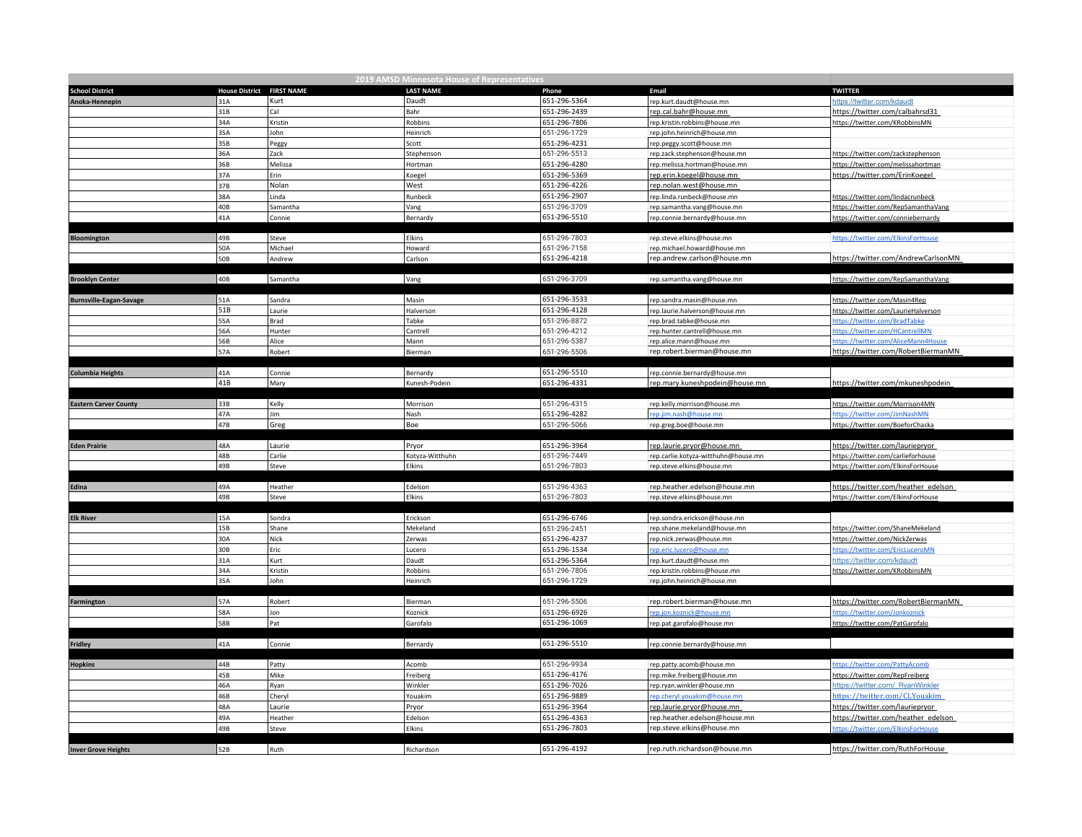|                                |                           |          | 2019 AMSD Minnesota House of Representatives |              |                                     |                                      |
|--------------------------------|---------------------------|----------|----------------------------------------------|--------------|-------------------------------------|--------------------------------------|
| <b>School District</b>         | House District FIRST NAME |          | <b>LAST NAME</b>                             | Phone        | Email                               | <b>TWITTER</b>                       |
| Anoka-Hennepin                 | 31A                       | Kurt     | Daudt                                        | 651-296-5364 | rep.kurt.daudt@house.mn             | https://twitter.com/kdaudt           |
|                                | 31B                       | Cal      | Bahr                                         | 651-296-2439 | rep.cal.bahr@house.mn               | https://twitter.com/calbahrsd31      |
|                                | 34A                       | Kristin  | Robbins                                      | 651-296-7806 | rep.kristin.robbins@house.mn        | https://twitter.com/KRobbinsMN       |
|                                | 35A                       | John     | Heinrich                                     | 651-296-1729 | rep.john.heinrich@house.mn          |                                      |
|                                | 35B                       | Peggy    | Scott                                        | 651-296-4231 | rep.peggy.scott@house.mn            |                                      |
|                                | 36A                       | Zack     | Stephenson                                   | 651-296-5513 | rep.zack.stephenson@house.mn        | https://twitter.com/zackstephenson   |
|                                | 36B                       | Melissa  | Hortman                                      | 651-296-4280 | rep.melissa.hortman@house.mn        | https://twitter.com/melissahortman   |
|                                | 37A                       | Erin     | Koegel                                       | 651-296-5369 | rep.erin.koegel@house.mn            | https://twitter.com/ErinKoegel       |
|                                | 37B                       | Nolan    | West                                         | 651-296-4226 | rep.nolan.west@house.mn             |                                      |
|                                | 38A                       | Linda    | Runbeck                                      | 651-296-2907 | rep.linda.runbeck@house.mn          | https://twitter.com/lindacrunbeck    |
|                                | 40B                       | Samantha | Vang                                         | 651-296-3709 | rep.samantha.vang@house.mn          | https://twitter.com/RepSamanthaVang  |
|                                | 41A                       | Connie   | Bernardy                                     | 651-296-5510 | rep.connie.bernardy@house.mn        | https://twitter.com/conniebernardy   |
|                                |                           |          |                                              |              |                                     |                                      |
| Bloomington                    | 49B                       | Steve    | <b>Elkins</b>                                | 651-296-7803 | rep.steve.elkins@house.mn           | https://twitter.com/ElkinsForHouse   |
|                                | 50A                       | Michael  | Howard                                       | 651-296-7158 | rep.michael.howard@house.mn         |                                      |
|                                | 50B                       | Andrew   | Carlson                                      | 651-296-4218 | rep.andrew.carlson@house.mn         | https://twitter.com/AndrewCarlsonMN  |
|                                |                           |          |                                              |              |                                     |                                      |
| <b>Brooklyn Center</b>         | 40B                       | Samantha | Vang                                         | 651-296-3709 | rep.samantha.vang@house.mn          | https://twitter.com/RepSamanthaVang  |
|                                |                           |          |                                              |              |                                     |                                      |
| <b>Burnsville-Eagan-Savage</b> | 51A                       | Sandra   | Masin                                        | 651-296-3533 | rep.sandra.masin@house.mn           | https://twitter.com/Masin4Rep        |
|                                | 51B                       | Laurie   | Halverson                                    | 651-296-4128 | rep.laurie.halverson@house.mn       | https://twitter.com/LaurieHalverson  |
|                                | 55A                       | Brad     | Tabke                                        | 651-296-8872 | rep.brad.tabke@house.mn             | https://twitter.com/BradTabke        |
|                                | 56A                       | Hunter   | Cantrell                                     | 651-296-4212 | rep.hunter.cantrell@house.mn        | https://twitter.com/HCantrellMN      |
|                                | 56B                       | Alice    | Mann                                         | 651-296-5387 | rep.alice.mann@house.mn             | https://twitter.com/AliceMann4House  |
|                                | 57A                       | Robert   | Bierman                                      | 651-296-5506 | rep.robert.bierman@house.mn         | https://twitter.com/RobertBiermanMN  |
|                                | 41A                       | Connie   |                                              | 651-296-5510 | rep.connie.bernardy@house.mn        |                                      |
| <b>Columbia Heights</b>        | 41B                       |          | Bernardy<br>Kunesh-Podein                    | 651-296-4331 |                                     |                                      |
|                                |                           | Mary     |                                              |              | rep.mary.kuneshpodein@house.mn      | https://twitter.com/mkuneshpodein    |
| <b>Eastern Carver County</b>   | 33B                       | Kelly    | Morrison                                     | 651-296-4315 | rep.kelly.morrison@house.mn         | https://twitter.com/Morrison4MN      |
|                                | 47A                       | Jim      | Nash                                         | 651-296-4282 | ep.jim.nash@house.mn                | https://twitter.com/JimNashMN        |
|                                | 47B                       | Greg     | Boe                                          | 651-296-5066 | rep.greg.boe@house.mn               | https://twitter.com/BoeforChaska     |
|                                |                           |          |                                              |              |                                     |                                      |
| <b>Eden Prairie</b>            | 48A                       | Laurie   | Pryor                                        | 651-296-3964 | rep.laurie.pryor@house.mn           | https://twitter.com/lauriepryor      |
|                                | 48B                       | Carlie   | Kotyza-Witthuhn                              | 651-296-7449 | rep.carlie.kotyza-witthuhn@house.mn | https://twitter.com/carlieforhouse   |
|                                | 49B                       | Steve    | Elkins                                       | 651-296-7803 | rep.steve.elkins@house.mn           | https://twitter.com/ElkinsForHouse   |
|                                |                           |          |                                              |              |                                     |                                      |
| Edina                          | 49A                       | Heather  | Edelson                                      | 651-296-4363 | rep.heather.edelson@house.mn        | https://twitter.com/heather_edelson  |
|                                | 49B                       | Steve    | Elkins                                       | 651-296-7803 | rep.steve.elkins@house.mn           | https://twitter.com/ElkinsForHouse   |
|                                |                           |          |                                              |              |                                     |                                      |
| <b>Elk River</b>               | 15A                       | Sondra   | Erickson                                     | 651-296-6746 | rep.sondra.erickson@house.mn        |                                      |
|                                | 15B                       | Shane    | Mekeland                                     | 651-296-2451 | rep.shane.mekeland@house.mn         | https://twitter.com/ShaneMekeland    |
|                                | 30A                       | Nick     | Zerwas                                       | 651-296-4237 | rep.nick.zerwas@house.mn            | https://twitter.com/NickZerwas       |
|                                | 30B                       | Eric     | Lucero                                       | 651-296-1534 | rep.eric.lucero@house.mn            | https://twitter.com/EricLuceroMN     |
|                                | 31A                       | Kurt     | Daudt                                        | 651-296-5364 | rep.kurt.daudt@house.mn             | https://twitter.com/kdaudt           |
|                                | 34A                       | Kristin  | Robbins                                      | 651-296-7806 | rep.kristin.robbins@house.mn        | https://twitter.com/KRobbinsMN       |
|                                | 35A                       | John     | Heinrich                                     | 651-296-1729 | rep.john.heinrich@house.mn          |                                      |
|                                |                           |          |                                              |              |                                     |                                      |
| Farmington                     | 57A                       | Robert   | Bierman                                      | 651-296-5506 | rep.robert.bierman@house.mn         | https://twitter.com/RobertBiermanMN  |
|                                | 58A                       | Jon      | Koznick                                      | 651-296-6926 | rep.jon.koznick@house.mr            | https://twitter.com/Jonkoznick       |
|                                | 58B                       | Pat      | Garofalo                                     | 651-296-1069 | rep.pat.garofalo@house.mn           | https://twitter.com/PatGarofalo      |
|                                |                           |          |                                              |              |                                     |                                      |
| Fridley                        | 41A                       | Connie   | Bernardy                                     | 651-296-5510 | rep.connie.bernardy@house.mn        |                                      |
|                                |                           |          |                                              |              |                                     |                                      |
| <b>Hopkins</b>                 | 44B                       | Patty    | Acomb                                        | 651-296-9934 | rep.patty.acomb@house.mn            | https://twitter.com/PattyAcomb       |
|                                | 45B                       | Mike     | Freiberg                                     | 651-296-4176 | rep.mike.freiberg@house.mn          | https://twitter.com/RepFreiberg      |
|                                | 46A                       | Ryan     | Winkler                                      | 651-296-7026 | rep.ryan.winkler@house.mn           | https://twitter.com/_RyanWinkler     |
|                                | 46B                       | Cheryl   | Youakim                                      | 651-296-9889 | ep.cheryl.youakim@house.mn          | https://twitter.com/CLYouakim        |
|                                | 48A                       | Laurie   | Pryor                                        | 651-296-3964 | rep.laurie.pryor@house.mn           | https://twitter.com/lauriepryor_     |
|                                | 49A                       | Heather  | Edelson                                      | 651-296-4363 | rep.heather.edelson@house.mn        | https://twitter.com/heather_edelson_ |
|                                | 49B                       | Steve    | Elkins                                       | 651-296-7803 | rep.steve.elkins@house.mn           | https://twitter.com/ElkinsForHouse   |
|                                | 52B                       | Ruth     | Richardson                                   | 651-296-4192 | rep.ruth.richardson@house.mn        | https://twitter.com/RuthForHouse     |
| <b>Inver Grove Heights</b>     |                           |          |                                              |              |                                     |                                      |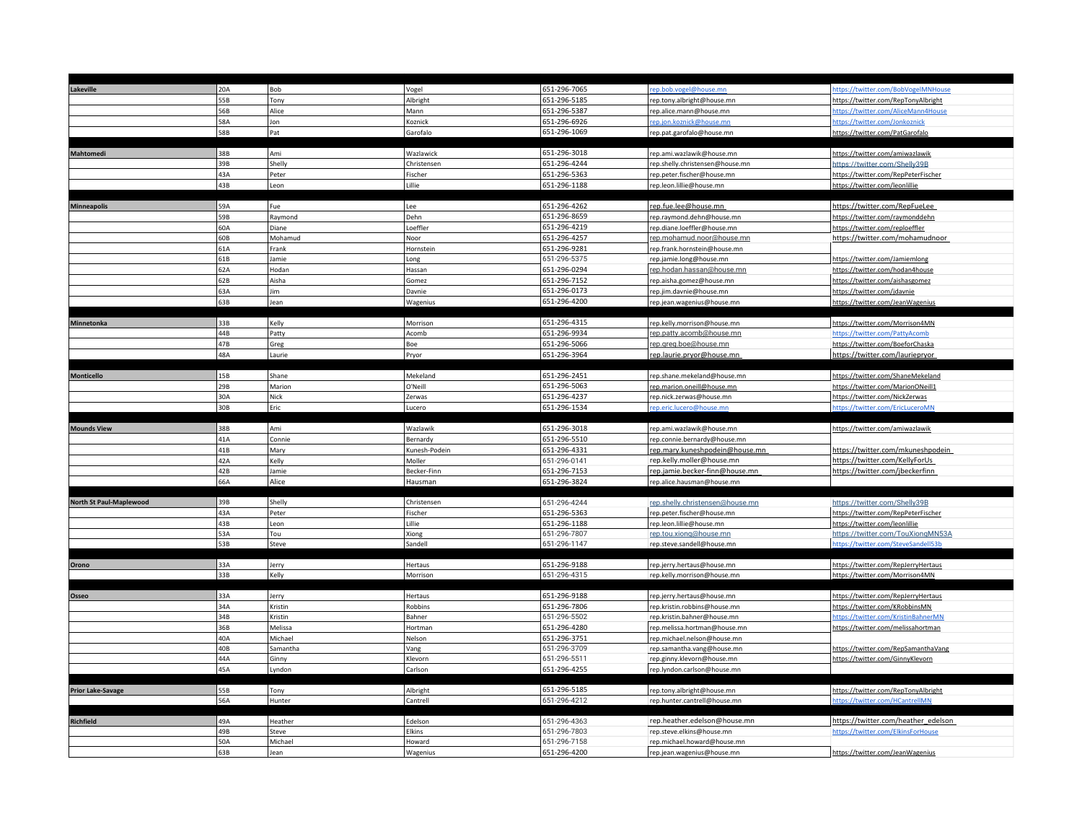| Lakeville                | 20A        | Bob              | Vogel             | 651-296-7065                 | ep.bob.vogel@house.mn                                     | ttps://twitter.com/BobVogelMNHouse                                  |
|--------------------------|------------|------------------|-------------------|------------------------------|-----------------------------------------------------------|---------------------------------------------------------------------|
|                          | 55B        | Tony             | Albright          | 651-296-5185                 | rep.tony.albright@house.mn                                | https://twitter.com/RepTonyAlbright                                 |
|                          | 56B        | Alice            | Mann              | 651-296-5387                 | rep.alice.mann@house.mn                                   | https://twitter.com/AliceMann4House                                 |
|                          | 58A        | Jon              | Koznick           | 651-296-6926                 | ep.jon.koznick@house.mn                                   | https://twitter.com/Jonkoznick                                      |
|                          | 58B        | Pat              | Garofalo          | 651-296-1069                 | rep.pat.garofalo@house.mn                                 | https://twitter.com/PatGarofalo                                     |
|                          |            |                  |                   |                              |                                                           |                                                                     |
| Mahtomedi                | 38B        | Ami              | Wazlawick         | 651-296-3018                 | rep.ami.wazlawik@house.mn                                 | https://twitter.com/amiwazlawik                                     |
|                          | 39B        | Shelly           | Christensen       | 651-296-4244                 | rep.shelly.christensen@house.mn                           | https://twitter.com/Shelly39B                                       |
|                          | 43A        | Peter            | Fischer           | 651-296-5363                 | rep.peter.fischer@house.mn                                | https://twitter.com/RepPeterFischer                                 |
|                          | 43B        | Leon             | Lillie            | 651-296-1188                 | rep.leon.lillie@house.mn                                  | https://twitter.com/leonlillie                                      |
|                          |            |                  |                   |                              |                                                           |                                                                     |
| Minneapolis              | 59A        | Fue              | Lee               | 651-296-4262                 | rep.fue.lee@house.mn                                      | https://twitter.com/RepFueLee                                       |
|                          | 59B        | Raymond          | Dehn              | 651-296-8659                 | rep.raymond.dehn@house.mn                                 | https://twitter.com/raymonddehn                                     |
|                          | 60A        | Diane            | Loeffler          | 651-296-4219                 | rep.diane.loeffler@house.mn                               | https://twitter.com/reploeffler                                     |
|                          | 60B        | Mohamud          | Noor              | 651-296-4257                 | rep.mohamud.noor@house.mn                                 | https://twitter.com/mohamudnoor                                     |
|                          | 61A        | Frank            | Hornstein         | 651-296-9281                 | rep.frank.hornstein@house.mn                              |                                                                     |
|                          | 61B        | Jamie            | Long              | 651-296-5375                 | rep.jamie.long@house.mn                                   | https://twitter.com/Jamiemlong                                      |
|                          | 62A        | Hodan            | Hassan            | 651-296-0294                 | rep.hodan.hassan@house.mn                                 | https://twitter.com/hodan4house                                     |
|                          | 62B        | Aisha            | Gomez             | 651-296-7152                 | rep.aisha.gomez@house.mn                                  | https://twitter.com/aishasgomez                                     |
|                          | 63A        | Jim              | Davnie            | 651-296-0173                 | rep.jim.davnie@house.mn                                   | https://twitter.com/jdavnie                                         |
|                          | 63B        | Jean             | Wagenius          | 651-296-4200                 | rep.jean.wagenius@house.mn                                | https://twitter.com/JeanWagenius                                    |
|                          |            |                  |                   |                              |                                                           |                                                                     |
| Minnetonka               | 33B        | Kelly            | Morrison          | 651-296-4315                 | rep.kelly.morrison@house.mn                               | https://twitter.com/Morrison4MN                                     |
|                          | 44B        | Patty            | Acomb             | 651-296-9934                 | rep.patty.acomb@house.mn                                  | https://twitter.com/PattyAcomb                                      |
|                          | 47B        | Greg             | Boe               | 651-296-5066                 | rep.greg.boe@house.mn                                     | https://twitter.com/BoeforChaska                                    |
|                          | 48A        | Laurie           | Pryor             | 651-296-3964                 | rep.laurie.pryor@house.mn                                 | https://twitter.com/lauriepryor                                     |
| <b>Monticello</b>        | 15B        | Shane            | Mekeland          | 651-296-2451                 | rep.shane.mekeland@house.mn                               | https://twitter.com/ShaneMekeland                                   |
|                          | 29B        | Marion           | O'Neill           | 651-296-5063                 |                                                           |                                                                     |
|                          | 30A        | Nick             | Zerwas            | 651-296-4237                 | rep.marion.oneill@house.mn<br>rep.nick.zerwas@house.mn    | https://twitter.com/MarionONeill1<br>https://twitter.com/NickZerwas |
|                          | 30B        | Eric             | Lucero            | 651-296-1534                 | rep.eric.lucero@house.mn                                  | ttps://twitter.com/EricLuceroMN                                     |
|                          |            |                  |                   |                              |                                                           |                                                                     |
|                          |            |                  |                   |                              |                                                           |                                                                     |
|                          |            |                  |                   |                              |                                                           |                                                                     |
| <b>Mounds View</b>       | 38B        | Ami              | Wazlawik          | 651-296-3018                 | rep.ami.wazlawik@house.mn                                 | https://twitter.com/amiwazlawik                                     |
|                          | 41A        | Connie           | Bernardy          | 651-296-5510                 | rep.connie.bernardy@house.mn                              |                                                                     |
|                          | 41B        | Mary             | Kunesh-Podein     | 651-296-4331                 | rep.mary.kuneshpodein@house.mn                            | https://twitter.com/mkuneshpodein                                   |
|                          | 42A        | Kelly            | Moller            | 651-296-0141                 | rep.kelly.moller@house.mn                                 | https://twitter.com/KellyForUs                                      |
|                          | 42B        | Jamie<br>Alice   | Becker-Finn       | 651-296-7153                 | rep.jamie.becker-finn@house.mn                            | https://twitter.com/jbeckerfinn                                     |
|                          | 66A        |                  | Hausman           | 651-296-3824                 | rep.alice.hausman@house.mn                                |                                                                     |
| North St Paul-Maplewood  | 39B        | Shelly           | Christensen       | 651-296-4244                 | rep.shelly.christensen@house.mn                           | https://twitter.com/Shelly39B                                       |
|                          | 43A        | Peter            | Fischer           | 651-296-5363                 | rep.peter.fischer@house.mn                                | https://twitter.com/RepPeterFischer                                 |
|                          | 43B        | Leon             | Lillie            | 651-296-1188                 | rep.leon.lillie@house.mn                                  | https://twitter.com/leonlillie                                      |
|                          | 53A        | Tou              | Xiong             | 651-296-7807                 | rep.tou.xiong@house.mn                                    | https://twitter.com/TouXiongMN53A                                   |
|                          | 53B        | <b>Steve</b>     | Sandell           | 651-296-1147                 | rep.steve.sandell@house.mn                                | https://twitter.com/SteveSandell53b                                 |
|                          |            |                  |                   |                              |                                                           |                                                                     |
| Orono                    | 33A        | Jerry            | Hertaus           | 651-296-9188                 | rep.jerry.hertaus@house.mn                                | https://twitter.com/RepJerryHertaus                                 |
|                          | 33B        | Kelly            | Morrison          | 651-296-4315                 | rep.kelly.morrison@house.mn                               | https://twitter.com/Morrison4MN                                     |
|                          |            |                  |                   |                              |                                                           |                                                                     |
| Osseo                    | 33A        | Jerry            | Hertaus           | 651-296-9188                 | rep.jerry.hertaus@house.mn                                | https://twitter.com/RepJerryHertaus                                 |
|                          | 34A        | Kristin          | Robbins           | 651-296-7806                 | rep.kristin.robbins@house.mn                              | https://twitter.com/KRobbinsMN                                      |
|                          | 34B        | Kristin          | Bahner            | 651-296-5502                 | rep.kristin.bahner@house.mn                               | https://twitter.com/KristinBahnerMN                                 |
|                          | 36B        | Melissa          | Hortman           | 651-296-4280                 | rep.melissa.hortman@house.mn                              | https://twitter.com/melissahortman                                  |
|                          | 40A        | Michael          | Nelson            | 651-296-3751                 | rep.michael.nelson@house.mn                               |                                                                     |
|                          | 40B        | Samantha         | Vang              | 651-296-3709                 | rep.samantha.vang@house.mn                                | https://twitter.com/RepSamanthaVang                                 |
|                          | 44A        | Ginny            | Klevorn           | 651-296-5511                 | rep.ginny.klevorn@house.mn                                | https://twitter.com/GinnyKlevorn                                    |
|                          | 45A        | Lyndon           | Carlson           | 651-296-4255                 | rep.lyndon.carlson@house.mn                               |                                                                     |
|                          |            |                  |                   |                              |                                                           |                                                                     |
| <b>Prior Lake-Savage</b> | 55B        | Tony             | Albright          | 651-296-5185                 | rep.tony.albright@house.mn                                | https://twitter.com/RepTonyAlbright                                 |
|                          | 56A        | Hunter           | Cantrell          | 651-296-4212                 | rep.hunter.cantrell@house.mn                              | https://twitter.com/HCantrellMN                                     |
|                          |            |                  |                   |                              |                                                           |                                                                     |
| Richfield                | 49A<br>49B | Heather<br>Steve | Edelson<br>Elkins | 651-296-4363                 | rep.heather.edelson@house.mn<br>rep.steve.elkins@house.mn | https://twitter.com/heather_edelson                                 |
|                          | 50A        | Michael          | Howard            | 651-296-7803<br>651-296-7158 | rep.michael.howard@house.mn                               | https://twitter.com/ElkinsForHouse                                  |
|                          | 63B        | Jean             | Wagenius          | 651-296-4200                 | rep.jean.wagenius@house.mn                                | https://twitter.com/JeanWagenius                                    |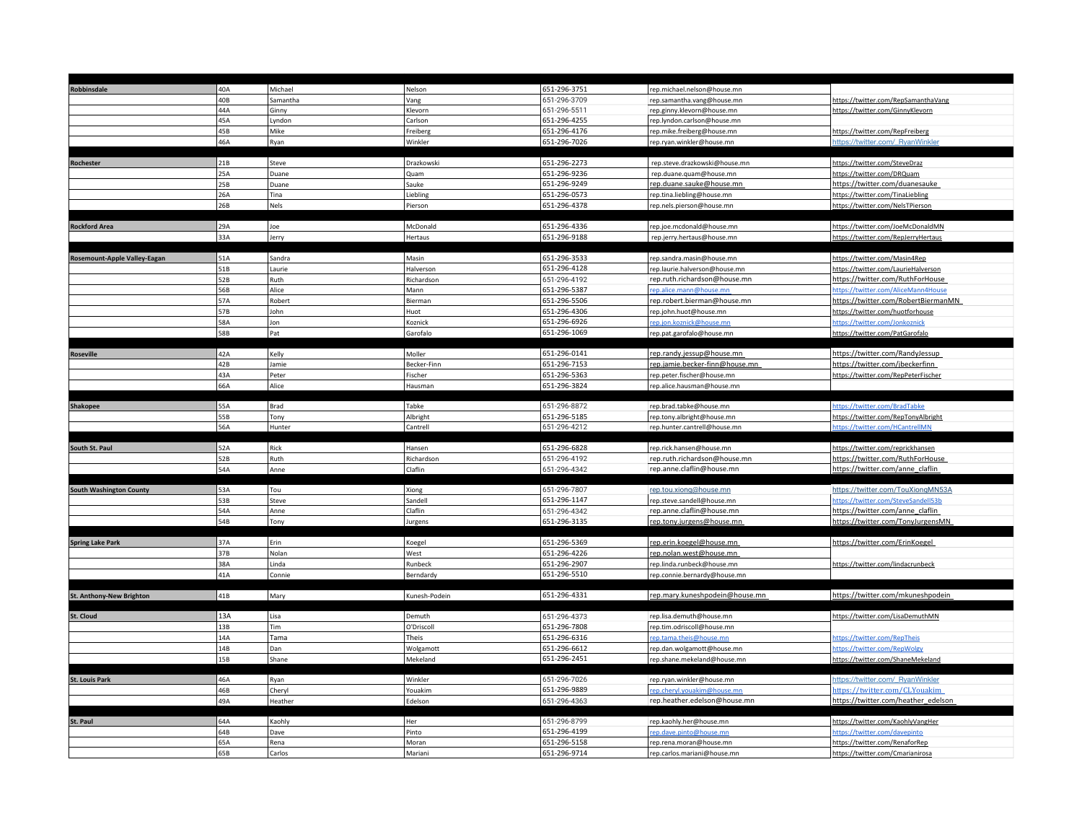| Robbinsdale                  | 40A        | Michael        | Nelson               | 651-296-3751                 | rep.michael.nelson@house.mn                            |                                                                            |
|------------------------------|------------|----------------|----------------------|------------------------------|--------------------------------------------------------|----------------------------------------------------------------------------|
|                              | 40B        | Samantha       | Vang                 | 651-296-3709                 | rep.samantha.vang@house.mn                             | https://twitter.com/RepSamanthaVang                                        |
|                              | 44A        | Ginny          | Klevorn              | 651-296-5511                 | rep.ginny.klevorn@house.mn                             | https://twitter.com/GinnyKlevorn                                           |
|                              | 45A        | Lyndon         | Carlson              | 651-296-4255                 | rep.lyndon.carlson@house.mn                            |                                                                            |
|                              | 45B        | Mike           | Freiberg             | 651-296-4176                 | rep.mike.freiberg@house.mn                             | https://twitter.com/RepFreiberg                                            |
|                              | 46A        | Ryan           | Winkler              | 651-296-7026                 | rep.ryan.winkler@house.mn                              | https://twitter.com/_RyanWinkler                                           |
|                              |            |                |                      |                              |                                                        |                                                                            |
| Rochester                    | 21B        | Steve          | Drazkowski           | 651-296-2273                 | rep.steve.drazkowski@house.mn                          | https://twitter.com/SteveDraz                                              |
|                              | 25A        | Duane          | Quam                 | 651-296-9236                 | rep.duane.quam@house.mn                                | https://twitter.com/DRQuam                                                 |
|                              | 25B        | Duane          | Sauke                | 651-296-9249                 | rep.duane.sauke@house.mn                               | https://twitter.com/duanesauke                                             |
|                              | 26A        | Tina           | Liebling             | 651-296-0573                 | rep.tina.liebling@house.mn                             | https://twitter.com/TinaLiebling                                           |
|                              | 26B        | Nels           | Pierson              | 651-296-4378                 | rep.nels.pierson@house.mn                              | https://twitter.com/NelsTPierson                                           |
|                              |            |                |                      |                              |                                                        |                                                                            |
| <b>Rockford Area</b>         | 29A<br>33A | Joe            | McDonald             | 651-296-4336<br>651-296-9188 | rep.joe.mcdonald@house.mn                              | https://twitter.com/JoeMcDonaldMN                                          |
|                              |            | Jerry          | Hertaus              |                              | rep.jerry.hertaus@house.mn                             | https://twitter.com/RepJerryHertaus                                        |
|                              | 51A        | Sandra         | Masin                | 651-296-3533                 | rep.sandra.masin@house.mn                              | https://twitter.com/Masin4Rep                                              |
| Rosemount-Apple Valley-Eagan | 51B        | Laurie         | Halverson            | 651-296-4128                 | rep.laurie.halverson@house.mn                          | https://twitter.com/LaurieHalverson                                        |
|                              | 52B        |                |                      |                              | rep.ruth.richardson@house.mn                           | https://twitter.com/RuthForHouse                                           |
|                              | 56B        | Ruth<br>Alice  | Richardson<br>Mann   | 651-296-4192<br>651-296-5387 | rep.alice.mann@house.mn                                |                                                                            |
|                              | 57A        | Robert         | Bierman              | 651-296-5506                 | rep.robert.bierman@house.mn                            | https://twitter.com/AliceMann4House<br>https://twitter.com/RobertBiermanMN |
|                              | 57B        | John           | Huot                 | 651-296-4306                 |                                                        |                                                                            |
|                              | 58A        | Jon            | Koznick              | 651-296-6926                 | rep.john.huot@house.mn                                 | https://twitter.com/huotforhouse<br>https://twitter.com/Jonkoznick         |
|                              | 58B        | Pat            | Garofalo             | 651-296-1069                 | rep.jon.koznick@house.mn<br>rep.pat.garofalo@house.mn  | https://twitter.com/PatGarofalo                                            |
|                              |            |                |                      |                              |                                                        |                                                                            |
| Roseville                    | 42A        | Kelly          | Moller               | 651-296-0141                 | rep.randy.jessup@house.mn                              | https://twitter.com/RandyJessup                                            |
|                              | 42B        | Jamie          | Becker-Finn          | 651-296-7153                 | rep.jamie.becker-finn@house.mn                         | https://twitter.com/jbeckerfinn                                            |
|                              | 43A        | Peter          | Fischer              | 651-296-5363                 | rep.peter.fischer@house.mn                             | https://twitter.com/RepPeterFischer                                        |
|                              | 66A        | Alice          | Hausman              | 651-296-3824                 | rep.alice.hausman@house.mn                             |                                                                            |
|                              |            |                |                      |                              |                                                        |                                                                            |
| <b>Shakopee</b>              | 55A        | Brad           | Tabke                | 651-296-8872                 | rep.brad.tabke@house.mn                                | https://twitter.com/BradTabke                                              |
|                              | 55B        | Tony           | Albright             | 651-296-5185                 | rep.tony.albright@house.mn                             | https://twitter.com/RepTonyAlbright                                        |
|                              | 56A        | Hunter         | Cantrell             | 651-296-4212                 | rep.hunter.cantrell@house.mn                           | https://twitter.com/HCantrellMN                                            |
|                              |            |                |                      |                              |                                                        |                                                                            |
| South St. Paul               | 52A        | Rick           | Hansen               | 651-296-6828                 | rep.rick.hansen@house.mn                               | https://twitter.com/reprickhansen                                          |
|                              | 52B        | Ruth           | Richardson           | 651-296-4192                 | rep.ruth.richardson@house.mn                           | https://twitter.com/RuthForHouse                                           |
|                              | 54A        | Anne           | Claflin              | 651-296-4342                 | rep.anne.claflin@house.mn                              | https://twitter.com/anne_claflin                                           |
|                              |            |                |                      |                              |                                                        |                                                                            |
| South Washington County      | 53A        | Tou            | Xiong                | 651-296-7807                 | rep.tou.xiong@house.mn                                 | https://twitter.com/TouXiongMN53A                                          |
|                              | 53B        | Steve          | Sandell              | 651-296-1147                 | rep.steve.sandell@house.mn                             | https://twitter.com/SteveSandell53b                                        |
|                              | 54A        | Anne           | Claflin              | 651-296-4342                 | rep.anne.claflin@house.mn                              | https://twitter.com/anne_claflin                                           |
|                              | 54B        | Tony           | Jurgens              | 651-296-3135                 | rep.tony.jurgens@house.mn                              | https://twitter.com/TonyJurgensMN                                          |
|                              |            |                |                      |                              |                                                        |                                                                            |
| <b>Spring Lake Park</b>      | 37A        | Erin           | Koegel               | 651-296-5369                 | rep.erin.koegel@house.mn                               | https://twitter.com/ErinKoegel                                             |
|                              | 37B        | Nolan          | West                 | 651-296-4226                 | rep.nolan.west@house.mn                                |                                                                            |
|                              | 38A        | Linda          | Runbeck              | 651-296-2907                 | rep.linda.runbeck@house.mn                             | https://twitter.com/lindacrunbeck                                          |
|                              | 41A        | Connie         | Berndardy            | 651-296-5510                 | rep.connie.bernardy@house.mn                           |                                                                            |
|                              |            |                |                      |                              |                                                        |                                                                            |
| St. Anthony-New Brighton     | 41B        | Mary           | Kunesh-Podein        | 651-296-4331                 | rep.mary.kuneshpodein@house.mn                         | https://twitter.com/mkuneshpodein                                          |
|                              | 13A        | Lisa           |                      | 651-296-4373                 | rep.lisa.demuth@house.mn                               | https://twitter.com/LisaDemuthMN                                           |
| St. Cloud                    | 13B        | <b>Tim</b>     | Demuth<br>O'Driscoll | 651-296-7808                 | rep.tim.odriscoll@house.mn                             |                                                                            |
|                              | 14A        | Tama           | Theis                | 651-296-6316                 | rep.tama.theis@house.mn                                | https://twitter.com/RepTheis                                               |
|                              |            | Dan            | Wolgamott            | 651-296-6612                 |                                                        |                                                                            |
|                              |            |                |                      |                              | rep.dan.wolgamott@house.mn                             | https://twitter.com/RepWolgy                                               |
|                              | 14B        |                |                      |                              |                                                        |                                                                            |
|                              | 15B        | Shane          | Mekeland             | 651-296-2451                 | rep.shane.mekeland@house.mn                            | https://twitter.com/ShaneMekeland                                          |
|                              |            |                |                      |                              |                                                        |                                                                            |
| <b>St. Louis Park</b>        | 46A        | Ryan           | Winkler              | 651-296-7026                 | rep.ryan.winkler@house.mn                              | https://twitter.com/_RyanWinkler                                           |
|                              | 46B        | Cheryl         | Youakim              | 651-296-9889                 | rep.cheryl.youakim@house.mn                            | https://twitter.com/CLYouakim                                              |
|                              | 49A        | Heather        | Edelson              | 651-296-4363                 | rep.heather.edelson@house.mn                           | https://twitter.com/heather_edelson                                        |
|                              |            |                | Her                  |                              |                                                        |                                                                            |
| St. Paul                     | 64A<br>64B | Kaohly<br>Dave | Pinto                | 651-296-8799<br>651-296-4199 | rep.kaohly.her@house.mn<br>rep.dave.pinto@house.mn     | https://twitter.com/KaohlyVangHer<br>https://twitter.com/davepinto         |
|                              |            |                |                      |                              |                                                        |                                                                            |
|                              | 65A<br>65B | Rena<br>Carlos | Moran<br>Mariani     | 651-296-5158<br>651-296-9714 | rep.rena.moran@house.mn<br>rep.carlos.mariani@house.mn | https://twitter.com/RenaforRep<br>https://twitter.com/Cmarianirosa         |